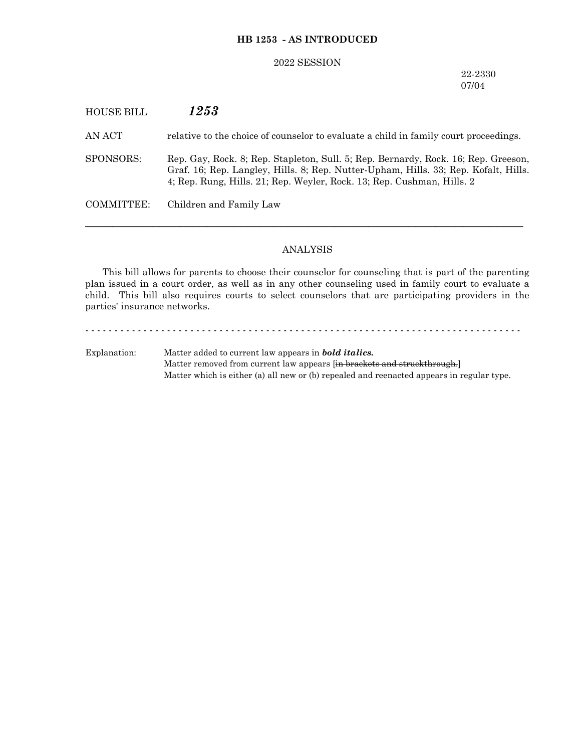### **HB 1253 - AS INTRODUCED**

#### 2022 SESSION

22-2330 07/04

# HOUSE BILL *1253* AN ACT relative to the choice of counselor to evaluate a child in family court proceedings. SPONSORS: Rep. Gay, Rock. 8; Rep. Stapleton, Sull. 5; Rep. Bernardy, Rock. 16; Rep. Greeson, Graf. 16; Rep. Langley, Hills. 8; Rep. Nutter-Upham, Hills. 33; Rep. Kofalt, Hills. 4; Rep. Rung, Hills. 21; Rep. Weyler, Rock. 13; Rep. Cushman, Hills. 2 COMMITTEE: Children and Family Law

### ANALYSIS

─────────────────────────────────────────────────────────────────

This bill allows for parents to choose their counselor for counseling that is part of the parenting plan issued in a court order, as well as in any other counseling used in family court to evaluate a child. This bill also requires courts to select counselors that are participating providers in the parties' insurance networks.

- - - - - - - - - - - - - - - - - - - - - - - - - - - - - - - - - - - - - - - - - - - - - - - - - - - - - - - - - - - - - - - - - - - - - - - - - - - Explanation: Matter added to current law appears in *bold italics.* Matter removed from current law appears [in brackets and struckthrough.] Matter which is either (a) all new or (b) repealed and reenacted appears in regular type.